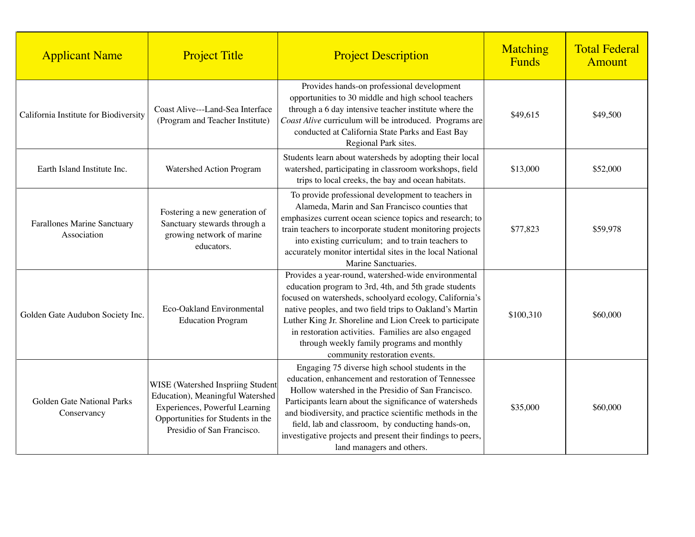| <b>Applicant Name</b>                      | <b>Project Title</b>                                                                                                                                                       | <b>Project Description</b>                                                                                                                                                                                                                                                                                                                                                                                                           | Matching<br><b>Funds</b> | <b>Total Federal</b><br><b>Amount</b> |
|--------------------------------------------|----------------------------------------------------------------------------------------------------------------------------------------------------------------------------|--------------------------------------------------------------------------------------------------------------------------------------------------------------------------------------------------------------------------------------------------------------------------------------------------------------------------------------------------------------------------------------------------------------------------------------|--------------------------|---------------------------------------|
| California Institute for Biodiversity      | Coast Alive---Land-Sea Interface<br>(Program and Teacher Institute)                                                                                                        | Provides hands-on professional development<br>opportunities to 30 middle and high school teachers<br>through a 6 day intensive teacher institute where the<br>Coast Alive curriculum will be introduced. Programs are<br>conducted at California State Parks and East Bay<br>Regional Park sites.                                                                                                                                    | \$49,615                 | \$49,500                              |
| Earth Island Institute Inc.                | Watershed Action Program                                                                                                                                                   | Students learn about watersheds by adopting their local<br>watershed, participating in classroom workshops, field<br>trips to local creeks, the bay and ocean habitats.                                                                                                                                                                                                                                                              | \$13,000                 | \$52,000                              |
| Farallones Marine Sanctuary<br>Association | Fostering a new generation of<br>Sanctuary stewards through a<br>growing network of marine<br>educators.                                                                   | To provide professional development to teachers in<br>Alameda, Marin and San Francisco counties that<br>emphasizes current ocean science topics and research; to<br>train teachers to incorporate student monitoring projects<br>into existing curriculum; and to train teachers to<br>accurately monitor intertidal sites in the local National<br>Marine Sanctuaries.                                                              | \$77,823                 | \$59,978                              |
| Golden Gate Audubon Society Inc.           | Eco-Oakland Environmental<br><b>Education Program</b>                                                                                                                      | Provides a year-round, watershed-wide environmental<br>education program to 3rd, 4th, and 5th grade students<br>focused on watersheds, schoolyard ecology, California's<br>native peoples, and two field trips to Oakland's Martin<br>Luther King Jr. Shoreline and Lion Creek to participate<br>in restoration activities. Families are also engaged<br>through weekly family programs and monthly<br>community restoration events. | \$100,310                | \$60,000                              |
| Golden Gate National Parks<br>Conservancy  | WISE (Watershed Inspriing Student<br>Education), Meaningful Watershed<br>Experiences, Powerful Learning<br>Opportunities for Students in the<br>Presidio of San Francisco. | Engaging 75 diverse high school students in the<br>education, enhancement and restoration of Tennessee<br>Hollow watershed in the Presidio of San Francisco.<br>Participants learn about the significance of watersheds<br>and biodiversity, and practice scientific methods in the<br>field, lab and classroom, by conducting hands-on,<br>investigative projects and present their findings to peers,<br>land managers and others. | \$35,000                 | \$60,000                              |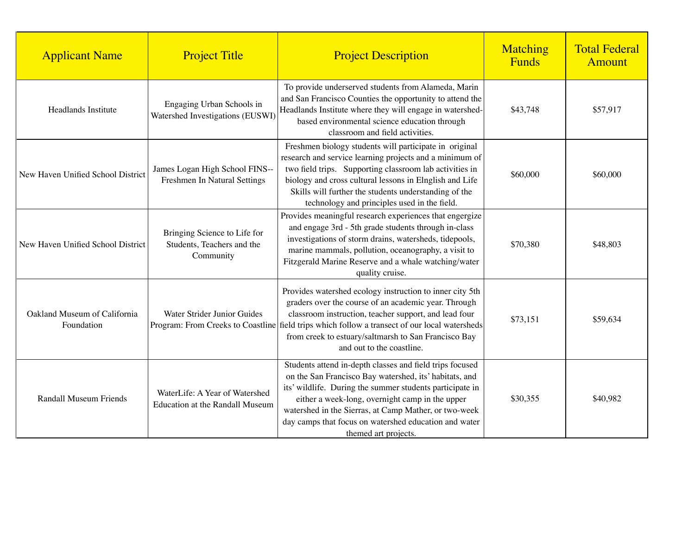| <b>Applicant Name</b>                      | <b>Project Title</b>                                                    | <b>Project Description</b>                                                                                                                                                                                                                                                                                                                                                  | Matching<br>Funds | <b>Total Federal</b><br>Amount |
|--------------------------------------------|-------------------------------------------------------------------------|-----------------------------------------------------------------------------------------------------------------------------------------------------------------------------------------------------------------------------------------------------------------------------------------------------------------------------------------------------------------------------|-------------------|--------------------------------|
| Headlands Institute                        | Engaging Urban Schools in<br>Watershed Investigations (EUSWI)           | To provide underserved students from Alameda, Marin<br>and San Francisco Counties the opportunity to attend the<br>Headlands Institute where they will engage in watershed-<br>based environmental science education through<br>classroom and field activities.                                                                                                             | \$43,748          | \$57,917                       |
| New Haven Unified School District          | James Logan High School FINS--<br>Freshmen In Natural Settings          | Freshmen biology students will participate in original<br>research and service learning projects and a minimum of<br>two field trips. Supporting classroom lab activities in<br>biology and cross cultural lessons in Elnglish and Life<br>Skills will further the students understanding of the<br>technology and principles used in the field.                            | \$60,000          | \$60,000                       |
| New Haven Unified School District          | Bringing Science to Life for<br>Students, Teachers and the<br>Community | Provides meaningful research experiences that engergize<br>and engage 3rd - 5th grade students through in-class<br>investigations of storm drains, watersheds, tidepools,<br>marine mammals, pollution, oceanography, a visit to<br>Fitzgerald Marine Reserve and a whale watching/water<br>quality cruise.                                                                 | \$70,380          | \$48,803                       |
| Oakland Museum of California<br>Foundation | Water Strider Junior Guides                                             | Provides watershed ecology instruction to inner city 5th<br>graders over the course of an academic year. Through<br>classroom instruction, teacher support, and lead four<br>Program: From Creeks to Coastline field trips which follow a transect of our local watersheds<br>from creek to estuary/saltmarsh to San Francisco Bay<br>and out to the coastline.             | \$73,151          | \$59,634                       |
| <b>Randall Museum Friends</b>              | WaterLife: A Year of Watershed<br>Education at the Randall Museum       | Students attend in-depth classes and field trips focused<br>on the San Francisco Bay watershed, its' habitats, and<br>its' wildlife. During the summer students participate in<br>either a week-long, overnight camp in the upper<br>watershed in the Sierras, at Camp Mather, or two-week<br>day camps that focus on watershed education and water<br>themed art projects. | \$30,355          | \$40,982                       |